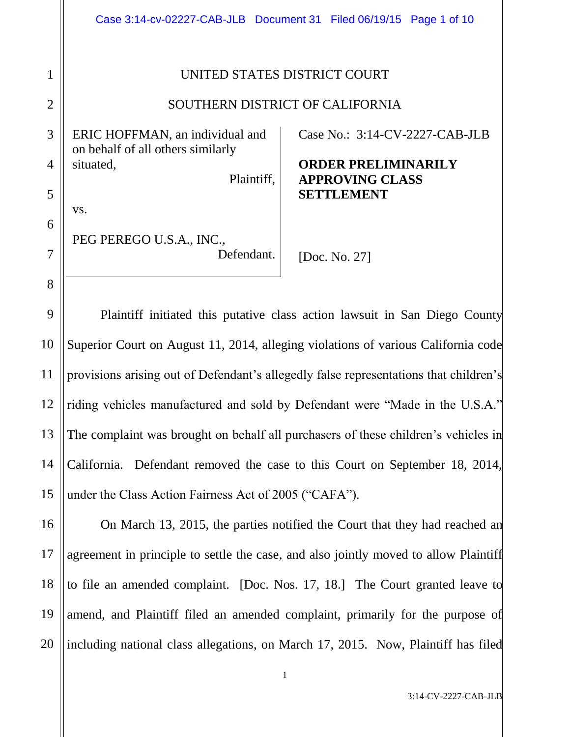|                                |                                                                      | Case 3:14-cv-02227-CAB-JLB  Document 31  Filed 06/19/15  Page 1 of 10     |
|--------------------------------|----------------------------------------------------------------------|---------------------------------------------------------------------------|
| $\mathbf{1}$<br>$\overline{2}$ | UNITED STATES DISTRICT COURT<br>SOUTHERN DISTRICT OF CALIFORNIA      |                                                                           |
| 3                              | ERIC HOFFMAN, an individual and<br>on behalf of all others similarly | Case No.: $3:14$ -CV-2227-CAB-JLB                                         |
| $\overline{4}$<br>5            | situated,<br>Plaintiff,                                              | <b>ORDER PRELIMINARILY</b><br><b>APPROVING CLASS</b><br><b>SETTLEMENT</b> |
| 6<br>7                         | VS.<br>PEG PEREGO U.S.A., INC.,<br>Defendant.                        | [Doc. No. 27]                                                             |
| 8                              |                                                                      |                                                                           |

9 10 11 12 13 14 15 Plaintiff initiated this putative class action lawsuit in San Diego County Superior Court on August 11, 2014, alleging violations of various California code provisions arising out of Defendant's allegedly false representations that children's riding vehicles manufactured and sold by Defendant were "Made in the U.S.A." The complaint was brought on behalf all purchasers of these children's vehicles in California. Defendant removed the case to this Court on September 18, 2014, under the Class Action Fairness Act of 2005 ("CAFA").

16 17 18 19 20 On March 13, 2015, the parties notified the Court that they had reached an agreement in principle to settle the case, and also jointly moved to allow Plaintiff to file an amended complaint. [Doc. Nos. 17, 18.] The Court granted leave to amend, and Plaintiff filed an amended complaint, primarily for the purpose of including national class allegations, on March 17, 2015. Now, Plaintiff has filed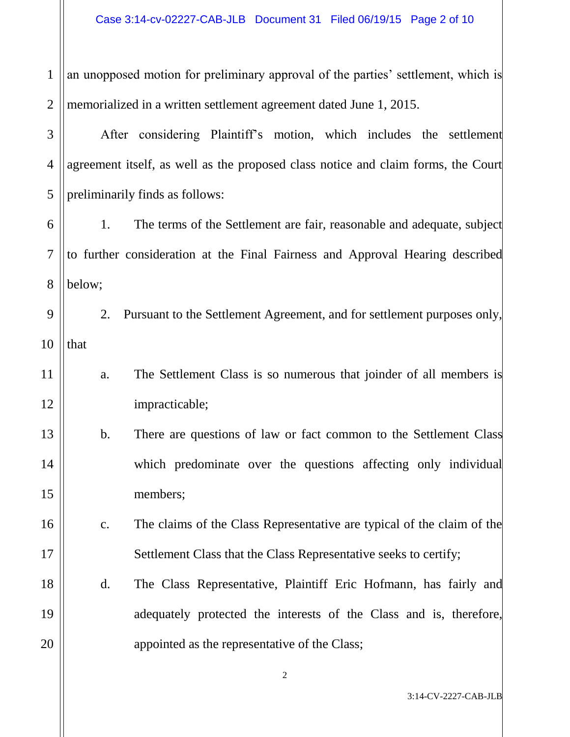1 2 an unopposed motion for preliminary approval of the parties' settlement, which is memorialized in a written settlement agreement dated June 1, 2015.

3 4 5 After considering Plaintiff's motion, which includes the settlement agreement itself, as well as the proposed class notice and claim forms, the Court preliminarily finds as follows:

6 7 8 1. The terms of the Settlement are fair, reasonable and adequate, subject to further consideration at the Final Fairness and Approval Hearing described below;

9 10 2. Pursuant to the Settlement Agreement, and for settlement purposes only, that

11 12 a. The Settlement Class is so numerous that joinder of all members is impracticable;

13

14

15

16

17

18

19

20

- b. There are questions of law or fact common to the Settlement Class which predominate over the questions affecting only individual members;
	- c. The claims of the Class Representative are typical of the claim of the Settlement Class that the Class Representative seeks to certify;
- d. The Class Representative, Plaintiff Eric Hofmann, has fairly and adequately protected the interests of the Class and is, therefore, appointed as the representative of the Class;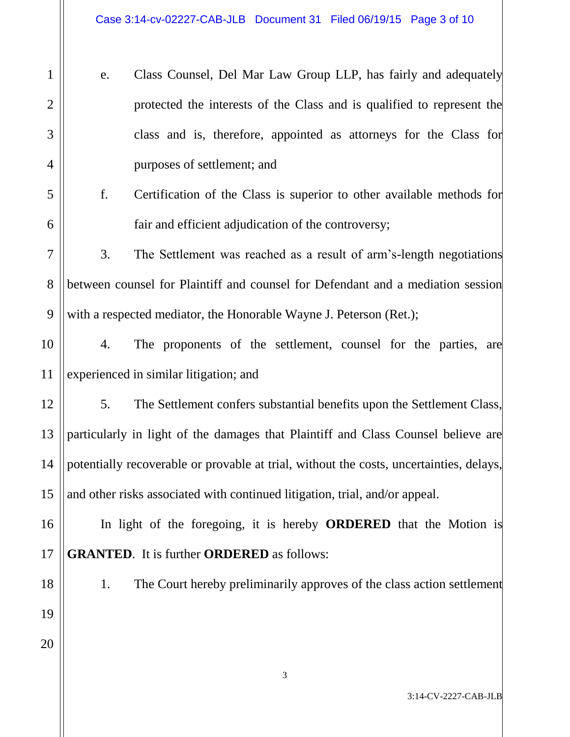- e. Class Counsel, Del Mar Law Group LLP, has fairly and adequately protected the interests of the Class and is qualified to represent the class and is, therefore, appointed as attorneys for the Class for purposes of settlement; and
- f. Certification of the Class is superior to other available methods for fair and efficient adjudication of the controversy;

7 8 9 3. The Settlement was reached as a result of arm's-length negotiations between counsel for Plaintiff and counsel for Defendant and a mediation session with a respected mediator, the Honorable Wayne J. Peterson (Ret.);

10 11 4. The proponents of the settlement, counsel for the parties, are experienced in similar litigation; and

5. The Settlement confers substantial benefits upon the Settlement Class, particularly in light of the damages that Plaintiff and Class Counsel believe are potentially recoverable or provable at trial, without the costs, uncertainties, delays, and other risks associated with continued litigation, trial, and/or appeal.

In light of the foregoing, it is hereby **ORDERED** that the Motion is **GRANTED**. It is further **ORDERED** as follows:

18

19

20

1

2

3

4

5

6

12

13

14

15

16

17

1. The Court hereby preliminarily approves of the class action settlement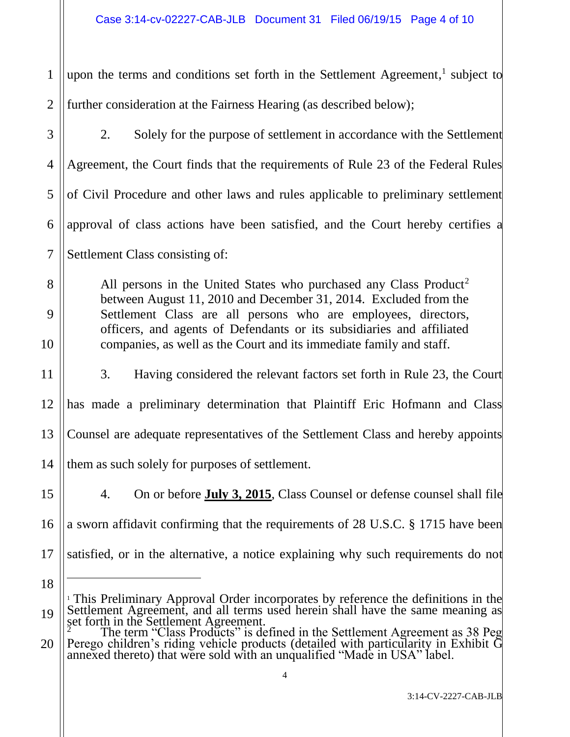1 2 upon the terms and conditions set forth in the Settlement Agreement,<sup>1</sup> subject to further consideration at the Fairness Hearing (as described below);

3 4 5 6 7 2. Solely for the purpose of settlement in accordance with the Settlement Agreement, the Court finds that the requirements of Rule 23 of the Federal Rules of Civil Procedure and other laws and rules applicable to preliminary settlement approval of class actions have been satisfied, and the Court hereby certifies a Settlement Class consisting of:

All persons in the United States who purchased any Class Product<sup>2</sup> between August 11, 2010 and December 31, 2014. Excluded from the Settlement Class are all persons who are employees, directors, officers, and agents of Defendants or its subsidiaries and affiliated companies, as well as the Court and its immediate family and staff.

11 12 13 14 3. Having considered the relevant factors set forth in Rule 23, the Court has made a preliminary determination that Plaintiff Eric Hofmann and Class Counsel are adequate representatives of the Settlement Class and hereby appoints them as such solely for purposes of settlement.

15 16

17

 $\overline{a}$ 

8

9

10

4. On or before **July 3, 2015**, Class Counsel or defense counsel shall file a sworn affidavit confirming that the requirements of 28 U.S.C. § 1715 have been satisfied, or in the alternative, a notice explaining why such requirements do not

<sup>18</sup> 19 <sup>1</sup> This Preliminary Approval Order incorporates by reference the definitions in the Settlement Agreement, and all terms used herein shall have the same meaning as set forth in the Settlement Agreement.

<sup>20</sup> <sup>2</sup> The term "Class Products" is defined in the Settlement Agreement as 38 Peg Perego children's riding vehicle products (detailed with particularity in Exhibit G annexed thereto) that were sold with an unqualified "Made in USA" label.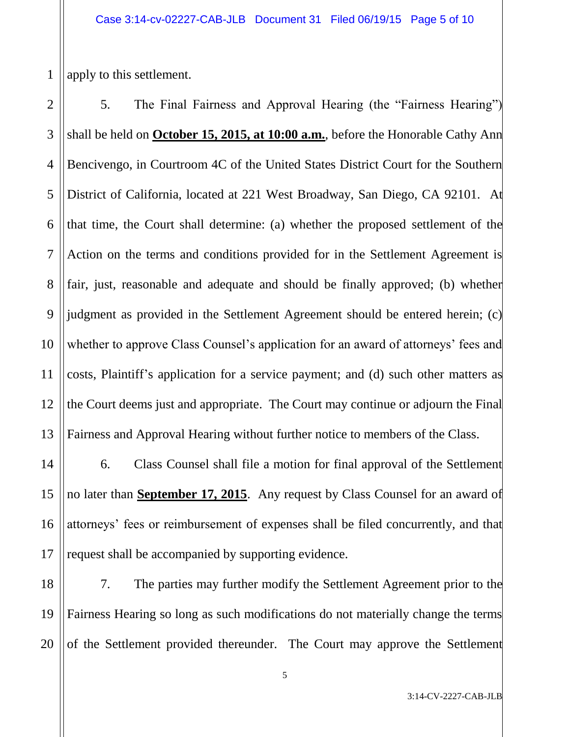1 apply to this settlement.

2 3 4 5 6 7 8 9 10 11 12 13 5. The Final Fairness and Approval Hearing (the "Fairness Hearing") shall be held on **October 15, 2015, at 10:00 a.m.**, before the Honorable Cathy Ann Bencivengo, in Courtroom 4C of the United States District Court for the Southern District of California, located at 221 West Broadway, San Diego, CA 92101. At that time, the Court shall determine: (a) whether the proposed settlement of the Action on the terms and conditions provided for in the Settlement Agreement is fair, just, reasonable and adequate and should be finally approved; (b) whether judgment as provided in the Settlement Agreement should be entered herein; (c) whether to approve Class Counsel's application for an award of attorneys' fees and costs, Plaintiff's application for a service payment; and (d) such other matters as the Court deems just and appropriate. The Court may continue or adjourn the Final Fairness and Approval Hearing without further notice to members of the Class.

14 15 16 17 6. Class Counsel shall file a motion for final approval of the Settlement no later than **September 17, 2015**. Any request by Class Counsel for an award of attorneys' fees or reimbursement of expenses shall be filed concurrently, and that request shall be accompanied by supporting evidence.

18 19 20 7. The parties may further modify the Settlement Agreement prior to the Fairness Hearing so long as such modifications do not materially change the terms of the Settlement provided thereunder. The Court may approve the Settlement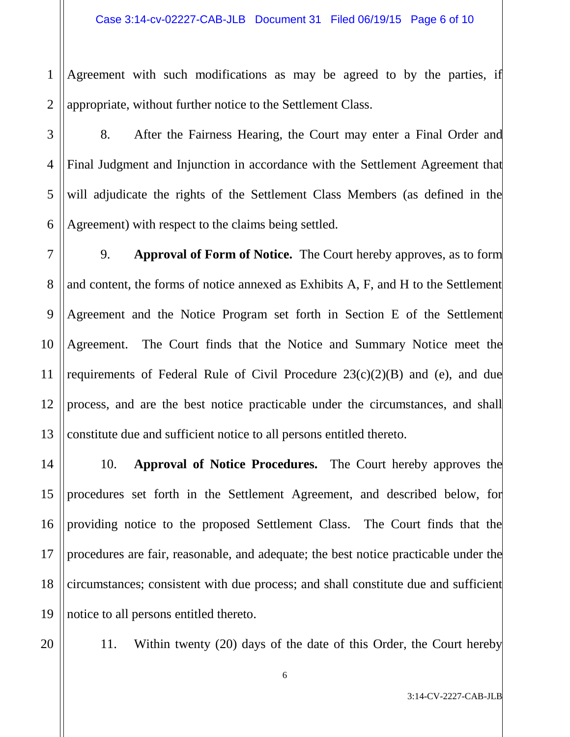1 2 Agreement with such modifications as may be agreed to by the parties, if appropriate, without further notice to the Settlement Class.

3 4 5 6 8. After the Fairness Hearing, the Court may enter a Final Order and Final Judgment and Injunction in accordance with the Settlement Agreement that will adjudicate the rights of the Settlement Class Members (as defined in the Agreement) with respect to the claims being settled.

7 8 9 10 11 12 13 9. **Approval of Form of Notice.** The Court hereby approves, as to form and content, the forms of notice annexed as Exhibits A, F, and H to the Settlement Agreement and the Notice Program set forth in Section E of the Settlement Agreement. The Court finds that the Notice and Summary Notice meet the requirements of Federal Rule of Civil Procedure  $23(c)(2)(B)$  and (e), and due process, and are the best notice practicable under the circumstances, and shall constitute due and sufficient notice to all persons entitled thereto.

14 15 16 17 18 19 10. **Approval of Notice Procedures.** The Court hereby approves the procedures set forth in the Settlement Agreement, and described below, for providing notice to the proposed Settlement Class. The Court finds that the procedures are fair, reasonable, and adequate; the best notice practicable under the circumstances; consistent with due process; and shall constitute due and sufficient notice to all persons entitled thereto.

20

11. Within twenty (20) days of the date of this Order, the Court hereby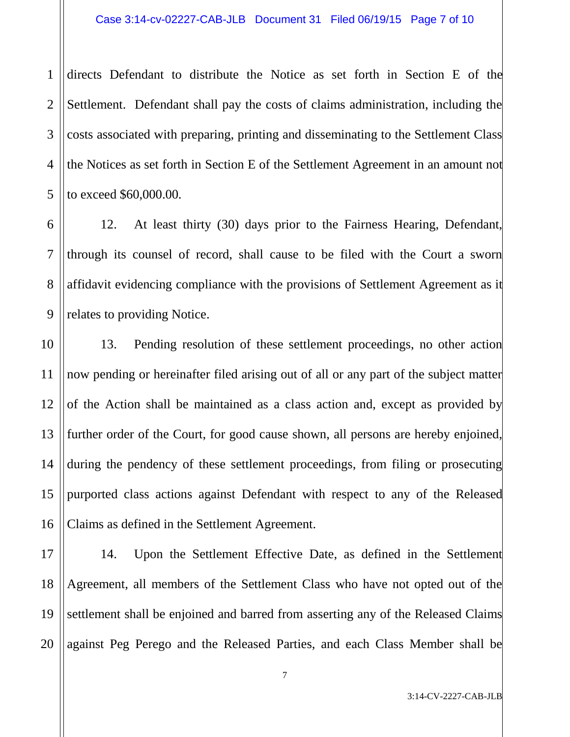1 2 3 4 5 directs Defendant to distribute the Notice as set forth in Section E of the Settlement. Defendant shall pay the costs of claims administration, including the costs associated with preparing, printing and disseminating to the Settlement Class the Notices as set forth in Section E of the Settlement Agreement in an amount not to exceed \$60,000.00.

6 7 8 9 12. At least thirty (30) days prior to the Fairness Hearing, Defendant, through its counsel of record, shall cause to be filed with the Court a sworn affidavit evidencing compliance with the provisions of Settlement Agreement as it relates to providing Notice.

10 11 12 13 14 15 16 13. Pending resolution of these settlement proceedings, no other action now pending or hereinafter filed arising out of all or any part of the subject matter of the Action shall be maintained as a class action and, except as provided by further order of the Court, for good cause shown, all persons are hereby enjoined, during the pendency of these settlement proceedings, from filing or prosecuting purported class actions against Defendant with respect to any of the Released Claims as defined in the Settlement Agreement.

17 18 19 20 14. Upon the Settlement Effective Date, as defined in the Settlement Agreement, all members of the Settlement Class who have not opted out of the settlement shall be enjoined and barred from asserting any of the Released Claims against Peg Perego and the Released Parties, and each Class Member shall be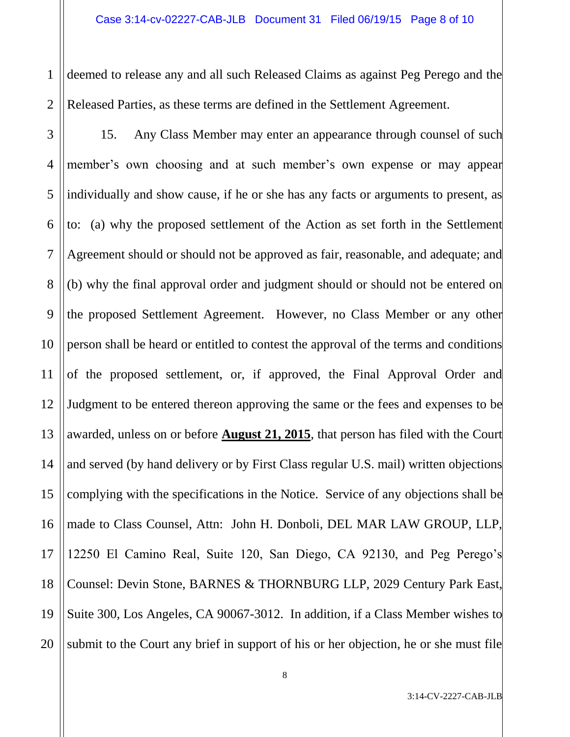1 2 deemed to release any and all such Released Claims as against Peg Perego and the Released Parties, as these terms are defined in the Settlement Agreement.

3 4 5 6 7 8 9 10 11 12 13 14 15 16 17 18 19 20 15. Any Class Member may enter an appearance through counsel of such member's own choosing and at such member's own expense or may appear individually and show cause, if he or she has any facts or arguments to present, as to: (a) why the proposed settlement of the Action as set forth in the Settlement Agreement should or should not be approved as fair, reasonable, and adequate; and (b) why the final approval order and judgment should or should not be entered on the proposed Settlement Agreement. However, no Class Member or any other person shall be heard or entitled to contest the approval of the terms and conditions of the proposed settlement, or, if approved, the Final Approval Order and Judgment to be entered thereon approving the same or the fees and expenses to be awarded, unless on or before **August 21, 2015**, that person has filed with the Court and served (by hand delivery or by First Class regular U.S. mail) written objections complying with the specifications in the Notice. Service of any objections shall be made to Class Counsel, Attn: John H. Donboli, DEL MAR LAW GROUP, LLP, 12250 El Camino Real, Suite 120, San Diego, CA 92130, and Peg Perego's Counsel: Devin Stone, BARNES & THORNBURG LLP, 2029 Century Park East, Suite 300, Los Angeles, CA 90067-3012. In addition, if a Class Member wishes to submit to the Court any brief in support of his or her objection, he or she must file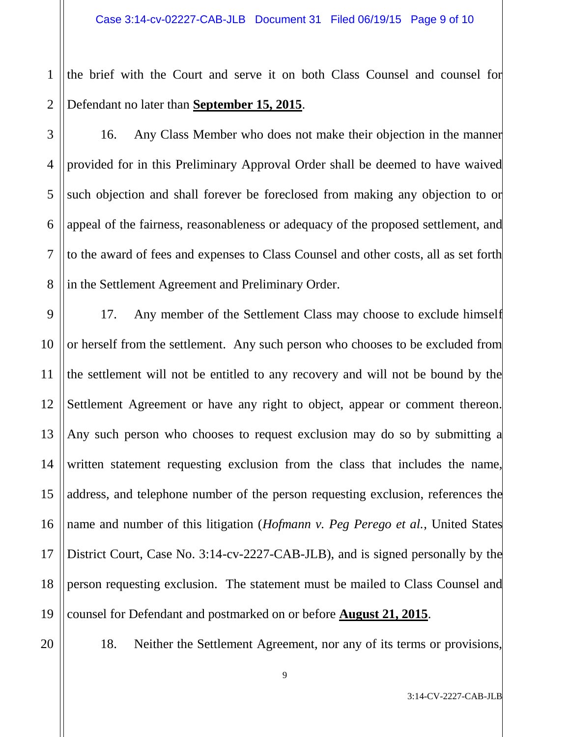1 2 the brief with the Court and serve it on both Class Counsel and counsel for Defendant no later than **September 15, 2015**.

3

4

5

6

7

8

16. Any Class Member who does not make their objection in the manner provided for in this Preliminary Approval Order shall be deemed to have waived such objection and shall forever be foreclosed from making any objection to or appeal of the fairness, reasonableness or adequacy of the proposed settlement, and to the award of fees and expenses to Class Counsel and other costs, all as set forth in the Settlement Agreement and Preliminary Order.

9 10 11 12 13 14 15 16 17 18 19 17. Any member of the Settlement Class may choose to exclude himself or herself from the settlement. Any such person who chooses to be excluded from the settlement will not be entitled to any recovery and will not be bound by the Settlement Agreement or have any right to object, appear or comment thereon. Any such person who chooses to request exclusion may do so by submitting a written statement requesting exclusion from the class that includes the name, address, and telephone number of the person requesting exclusion, references the name and number of this litigation (*Hofmann v. Peg Perego et al.*, United States District Court, Case No. 3:14-cv-2227-CAB-JLB), and is signed personally by the person requesting exclusion. The statement must be mailed to Class Counsel and counsel for Defendant and postmarked on or before **August 21, 2015**.

20

18. Neither the Settlement Agreement, nor any of its terms or provisions,